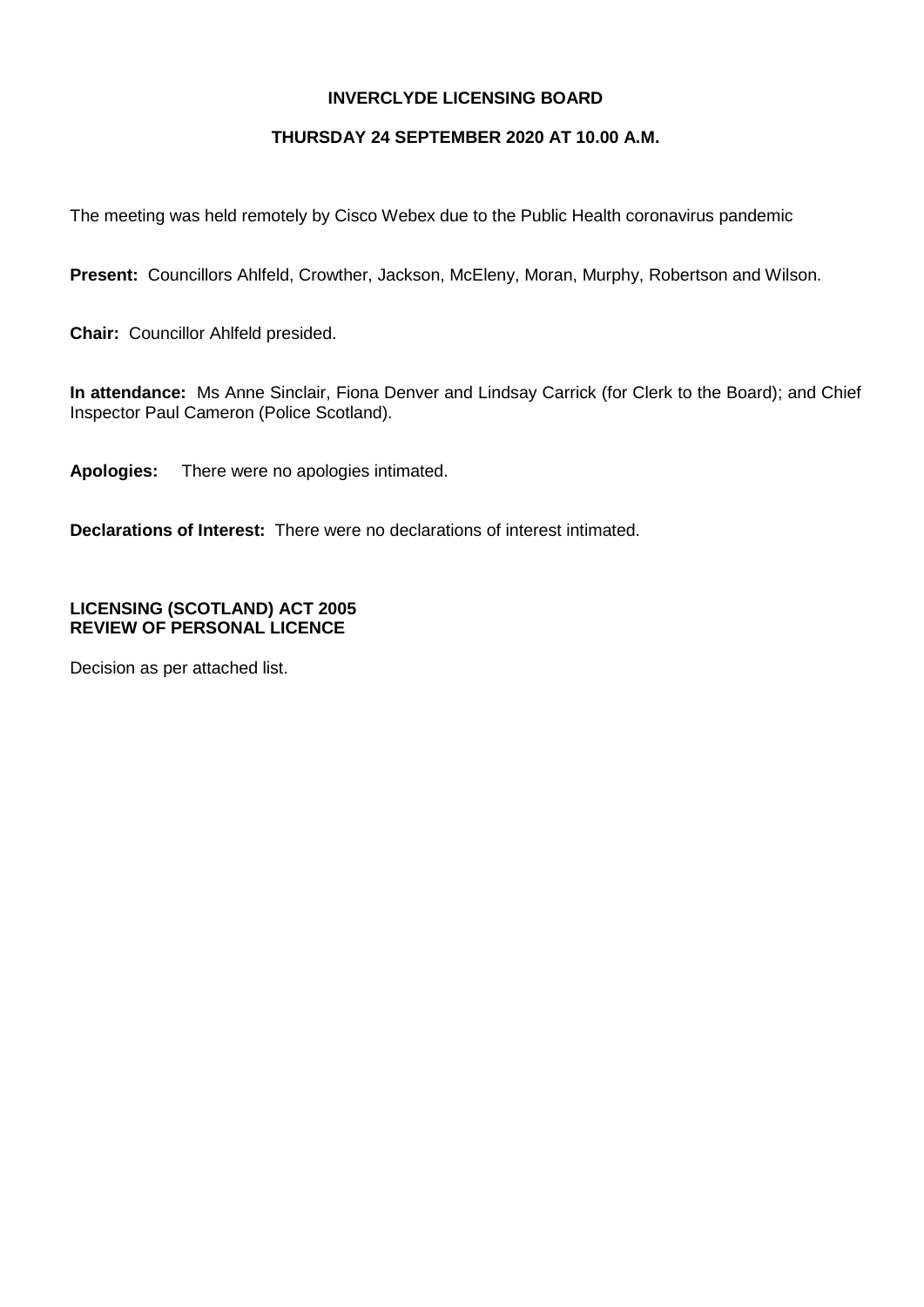## **INVERCLYDE LICENSING BOARD**

## **THURSDAY 24 SEPTEMBER 2020 AT 10.00 A.M.**

The meeting was held remotely by Cisco Webex due to the Public Health coronavirus pandemic

**Present:** Councillors Ahlfeld, Crowther, Jackson, McEleny, Moran, Murphy, Robertson and Wilson.

**Chair:** Councillor Ahlfeld presided.

**In attendance:** Ms Anne Sinclair, Fiona Denver and Lindsay Carrick (for Clerk to the Board); and Chief Inspector Paul Cameron (Police Scotland).

**Apologies:** There were no apologies intimated.

**Declarations of Interest:** There were no declarations of interest intimated.

# **LICENSING (SCOTLAND) ACT 2005 REVIEW OF PERSONAL LICENCE**

Decision as per attached list.